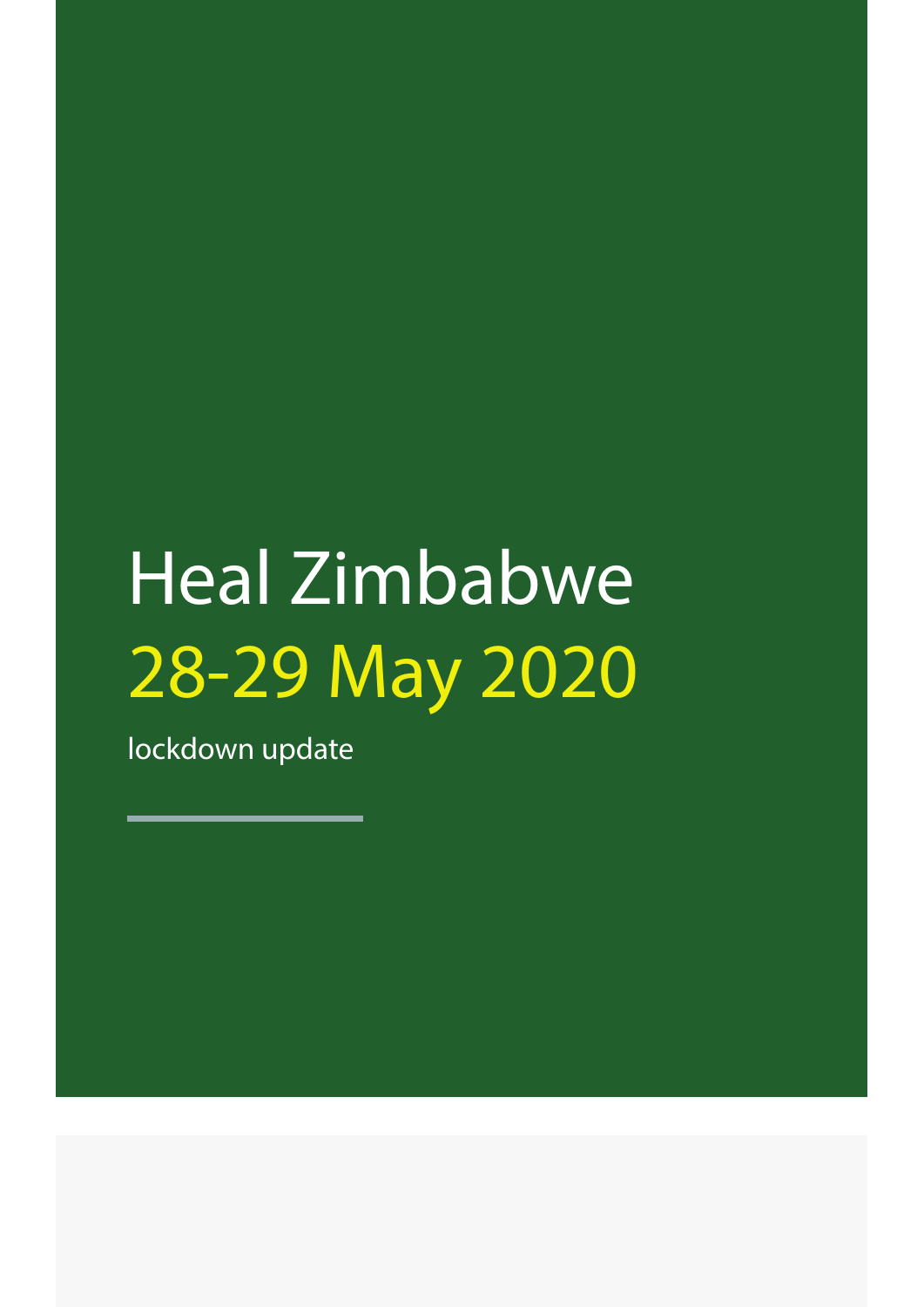# Heal Zimbabwe 28-29 May 2020

lockdown update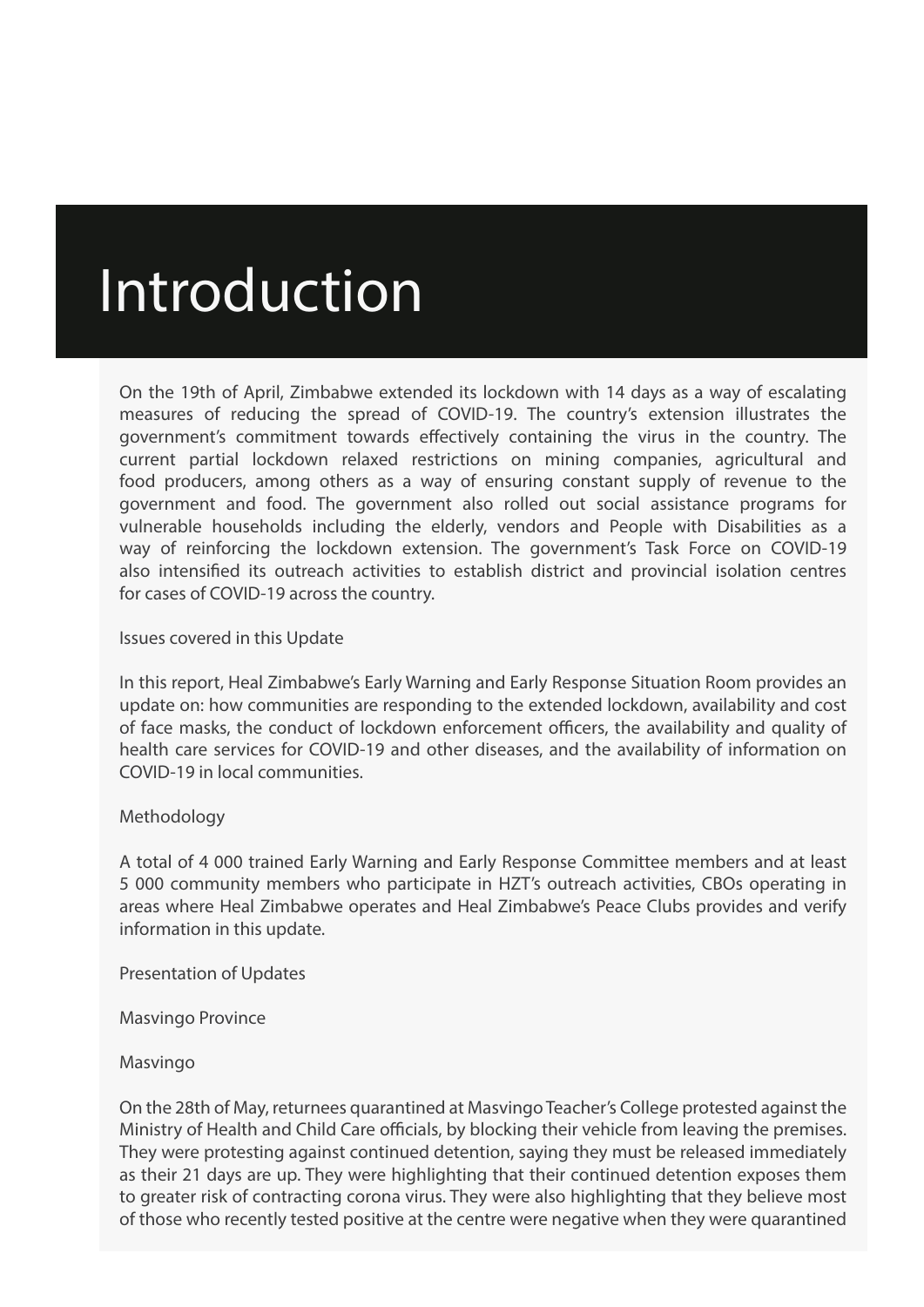# Introduction

On the 19th of April, Zimbabwe extended its lockdown with 14 days as a way of escalating measures of reducing the spread of COVID-19. The country's extension illustrates the government's commitment towards effectively containing the virus in the country. The current partial lockdown relaxed restrictions on mining companies, agricultural and food producers, among others as a way of ensuring constant supply of revenue to the government and food. The government also rolled out social assistance programs for vulnerable households including the elderly, vendors and People with Disabilities as a way of reinforcing the lockdown extension. The government's Task Force on COVID-19 also intensified its outreach activities to establish district and provincial isolation centres for cases of COVID-19 across the country.

#### Issues covered in this Update

In this report, Heal Zimbabwe's Early Warning and Early Response Situation Room provides an update on: how communities are responding to the extended lockdown, availability and cost of face masks, the conduct of lockdown enforcement officers, the availability and quality of health care services for COVID-19 and other diseases, and the availability of information on COVID-19 in local communities.

### Methodology

A total of 4 000 trained Early Warning and Early Response Committee members and at least 5 000 community members who participate in HZT's outreach activities, CBOs operating in areas where Heal Zimbabwe operates and Heal Zimbabwe's Peace Clubs provides and verify information in this update.

Presentation of Updates

Masvingo Province

Masvingo

On the 28th of May, returnees quarantined at Masvingo Teacher's College protested against the Ministry of Health and Child Care officials, by blocking their vehicle from leaving the premises. They were protesting against continued detention, saying they must be released immediately as their 21 days are up. They were highlighting that their continued detention exposes them to greater risk of contracting corona virus. They were also highlighting that they believe most of those who recently tested positive at the centre were negative when they were quarantined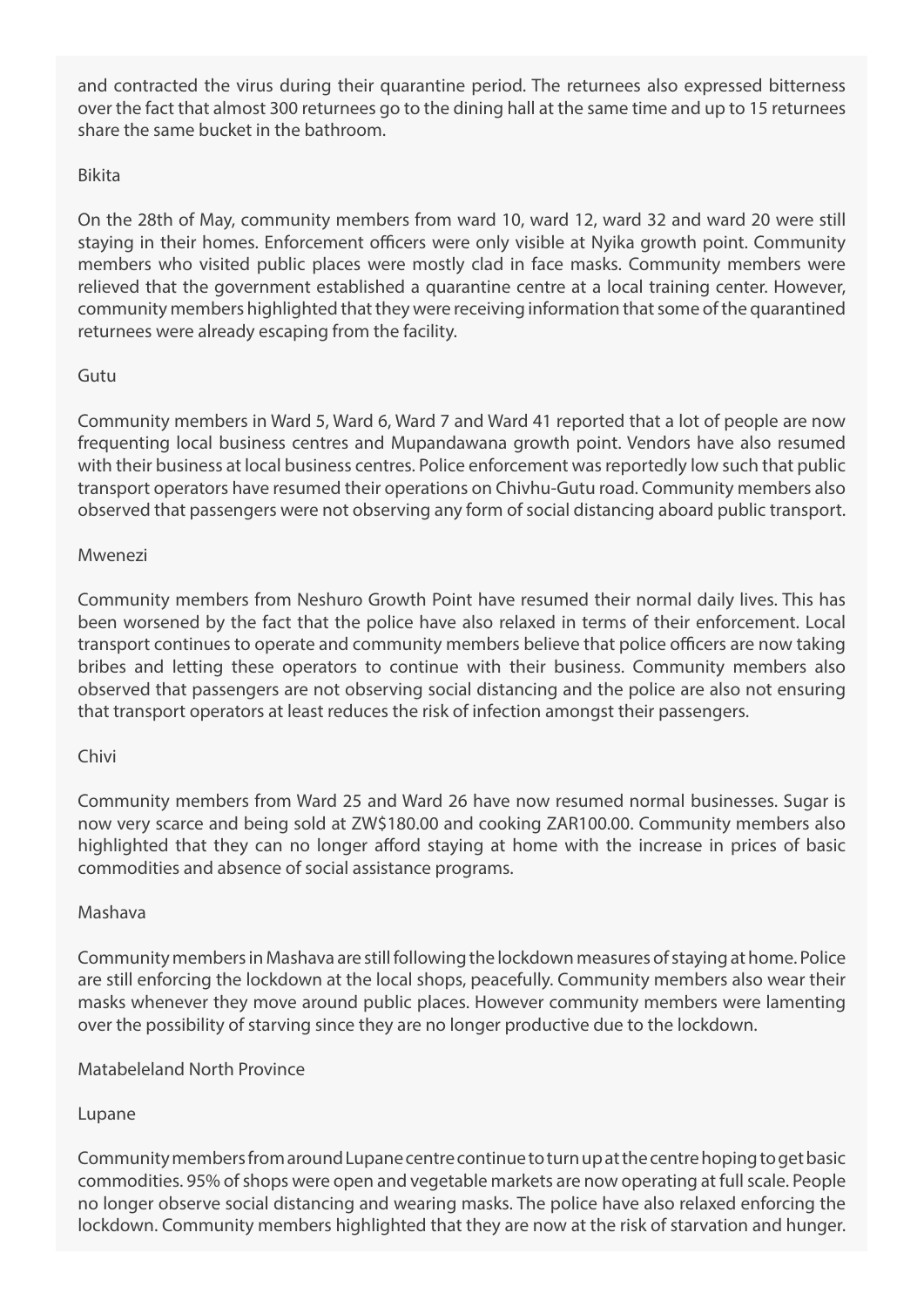and contracted the virus during their quarantine period. The returnees also expressed bitterness over the fact that almost 300 returnees go to the dining hall at the same time and up to 15 returnees share the same bucket in the bathroom.

# Bikita

On the 28th of May, community members from ward 10, ward 12, ward 32 and ward 20 were still staying in their homes. Enforcement officers were only visible at Nyika growth point. Community members who visited public places were mostly clad in face masks. Community members were relieved that the government established a quarantine centre at a local training center. However, community members highlighted that they were receiving information that some of the quarantined returnees were already escaping from the facility.

# Gutu

Community members in Ward 5, Ward 6, Ward 7 and Ward 41 reported that a lot of people are now frequenting local business centres and Mupandawana growth point. Vendors have also resumed with their business at local business centres. Police enforcement was reportedly low such that public transport operators have resumed their operations on Chivhu-Gutu road. Community members also observed that passengers were not observing any form of social distancing aboard public transport.

### Mwenezi

Community members from Neshuro Growth Point have resumed their normal daily lives. This has been worsened by the fact that the police have also relaxed in terms of their enforcement. Local transport continues to operate and community members believe that police officers are now taking bribes and letting these operators to continue with their business. Community members also observed that passengers are not observing social distancing and the police are also not ensuring that transport operators at least reduces the risk of infection amongst their passengers.

### Chivi

Community members from Ward 25 and Ward 26 have now resumed normal businesses. Sugar is now very scarce and being sold at ZW\$180.00 and cooking ZAR100.00. Community members also highlighted that they can no longer afford staying at home with the increase in prices of basic commodities and absence of social assistance programs.

### Mashava

Community members in Mashava are still following the lockdown measures of staying at home. Police are still enforcing the lockdown at the local shops, peacefully. Community members also wear their masks whenever they move around public places. However community members were lamenting over the possibility of starving since they are no longer productive due to the lockdown.

### Matabeleland North Province

# Lupane

Community members from around Lupane centre continue to turn up at the centre hoping to get basic commodities. 95% of shops were open and vegetable markets are now operating at full scale. People no longer observe social distancing and wearing masks. The police have also relaxed enforcing the lockdown. Community members highlighted that they are now at the risk of starvation and hunger.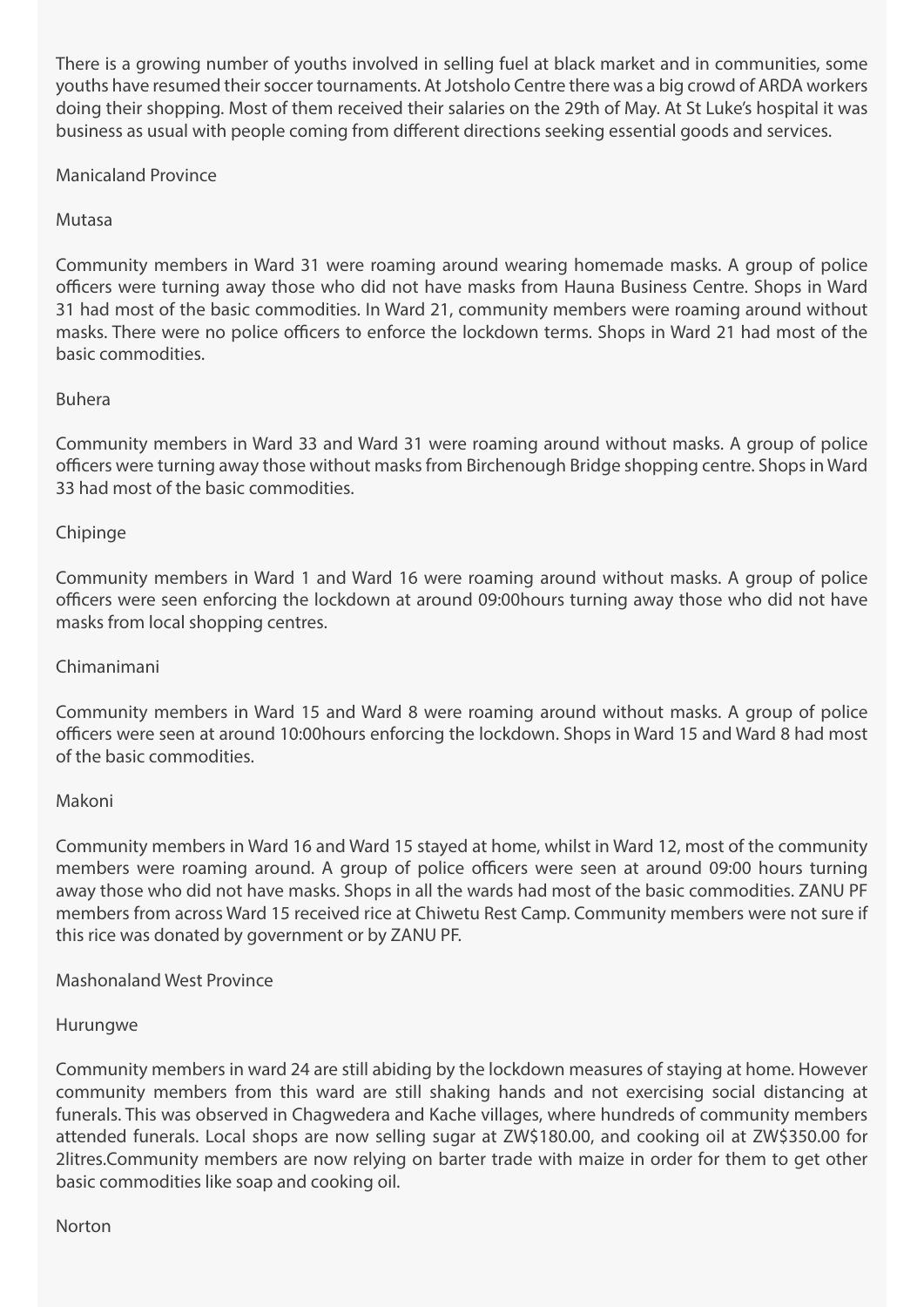There is a growing number of youths involved in selling fuel at black market and in communities, some youths have resumed their soccer tournaments. At Jotsholo Centre there was a big crowd of ARDA workers doing their shopping. Most of them received their salaries on the 29th of May. At St Luke's hospital it was business as usual with people coming from different directions seeking essential goods and services.

Manicaland Province

# Mutasa

Community members in Ward 31 were roaming around wearing homemade masks. A group of police officers were turning away those who did not have masks from Hauna Business Centre. Shops in Ward 31 had most of the basic commodities. In Ward 21, community members were roaming around without masks. There were no police officers to enforce the lockdown terms. Shops in Ward 21 had most of the basic commodities.

# Buhera

Community members in Ward 33 and Ward 31 were roaming around without masks. A group of police officers were turning away those without masks from Birchenough Bridge shopping centre. Shops in Ward 33 had most of the basic commodities.

# Chipinge

Community members in Ward 1 and Ward 16 were roaming around without masks. A group of police officers were seen enforcing the lockdown at around 09:00hours turning away those who did not have masks from local shopping centres.

### Chimanimani

Community members in Ward 15 and Ward 8 were roaming around without masks. A group of police officers were seen at around 10:00hours enforcing the lockdown. Shops in Ward 15 and Ward 8 had most of the basic commodities.

### Makoni

Community members in Ward 16 and Ward 15 stayed at home, whilst in Ward 12, most of the community members were roaming around. A group of police officers were seen at around 09:00 hours turning away those who did not have masks. Shops in all the wards had most of the basic commodities. ZANU PF members from across Ward 15 received rice at Chiwetu Rest Camp. Community members were not sure if this rice was donated by government or by ZANU PF.

Mashonaland West Province

### Hurungwe

Community members in ward 24 are still abiding by the lockdown measures of staying at home. However community members from this ward are still shaking hands and not exercising social distancing at funerals. This was observed in Chagwedera and Kache villages, where hundreds of community members attended funerals. Local shops are now selling sugar at ZW\$180.00, and cooking oil at ZW\$350.00 for 2litres.Community members are now relying on barter trade with maize in order for them to get other basic commodities like soap and cooking oil.

#### Norton